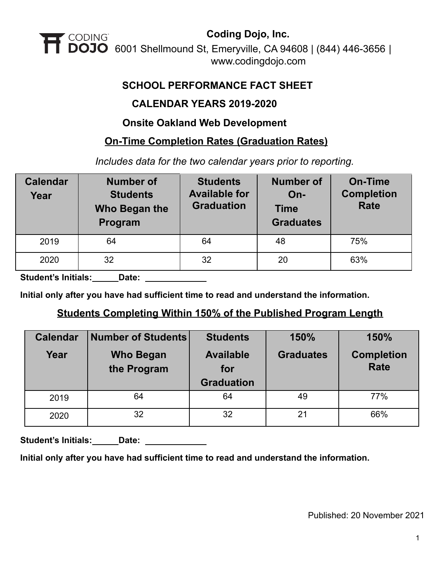

#### **SCHOOL PERFORMANCE FACT SHEET**

#### **CALENDAR YEARS 2019-2020**

#### **Onsite Oakland Web Development**

#### **On-Time Completion Rates (Graduation Rates)**

*Includes data for the two calendar years prior to reporting.*

| <b>Calendar</b><br>Year | <b>Number of</b><br><b>Students</b><br>Who Began the<br>Program | <b>Students</b><br><b>Available for</b><br><b>Graduation</b> | <b>Number of</b><br>$On-$<br><b>Time</b><br><b>Graduates</b> | <b>On-Time</b><br><b>Completion</b><br><b>Rate</b> |
|-------------------------|-----------------------------------------------------------------|--------------------------------------------------------------|--------------------------------------------------------------|----------------------------------------------------|
| 2019                    | 64                                                              | 64                                                           | 48                                                           | 75%                                                |
| 2020                    | 32                                                              | 32                                                           | 20                                                           | 63%                                                |

**Student's Initials: Date:**

**Initial only after you have had sufficient time to read and understand the information.**

### **Students Completing Within 150% of the Published Program Length**

| <b>Calendar</b> | <b>Number of Students</b>       | <b>Students</b>                              | 150%             | 150%                             |  |
|-----------------|---------------------------------|----------------------------------------------|------------------|----------------------------------|--|
| Year            | <b>Who Began</b><br>the Program | <b>Available</b><br>for<br><b>Graduation</b> | <b>Graduates</b> | <b>Completion</b><br><b>Rate</b> |  |
| 2019            | 64                              | 64                                           | 49               | 77%                              |  |
| 2020            | 32                              | 32                                           | 21               | 66%                              |  |

Student's Initials: **Date: Letter** 

**Initial only after you have had sufficient time to read and understand the information.**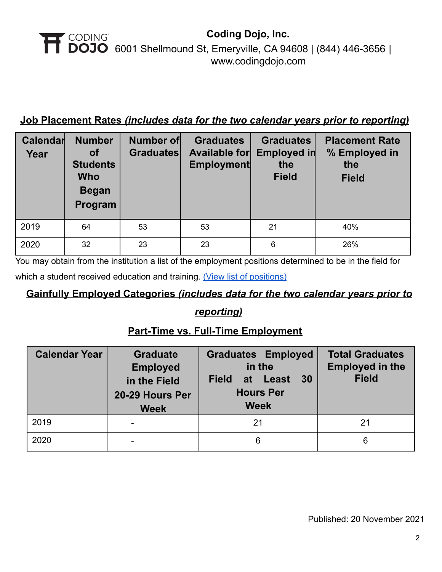### **Job Placement Rates** *(includes data for the two calendar years prior to reporting)*

| Calendar<br>Year | <b>Number</b><br><b>of</b><br><b>Students</b><br><b>Who</b><br><b>Began</b><br>Program | Number of<br><b>Graduates</b> | <b>Graduates</b><br><b>Available for</b><br><b>Employment</b> | <b>Graduates</b><br>Employed in<br>the<br><b>Field</b> | <b>Placement Rate</b><br>% Employed in<br>the<br><b>Field</b> |
|------------------|----------------------------------------------------------------------------------------|-------------------------------|---------------------------------------------------------------|--------------------------------------------------------|---------------------------------------------------------------|
| 2019             | 64                                                                                     | 53                            | 53                                                            | 21                                                     | 40%                                                           |
| 2020             | 32                                                                                     | 23                            | 23                                                            | 6                                                      | 26%                                                           |

You may obtain from the institution a list of the employment positions determined to be in the field for which a student received education and training. (View [list of positions\)](https://cdn2.codingdojo.com/files/alumni_positions.pdf)

# **Gainfully Employed Categories** *(includes data for the two calendar years prior to*

### *reporting)*

## **Part-Time vs. Full-Time Employment**

| <b>Calendar Year</b> | <b>Graduate</b><br><b>Employed</b><br>in the Field<br>20-29 Hours Per<br><b>Week</b> | <b>Graduates Employed</b><br>in the<br>30<br><b>Field</b><br>at Least<br><b>Hours Per</b><br><b>Week</b> | <b>Total Graduates</b><br><b>Employed in the</b><br><b>Field</b> |
|----------------------|--------------------------------------------------------------------------------------|----------------------------------------------------------------------------------------------------------|------------------------------------------------------------------|
| 2019                 |                                                                                      | 21                                                                                                       | 21                                                               |
| 2020                 |                                                                                      | 6                                                                                                        | 6                                                                |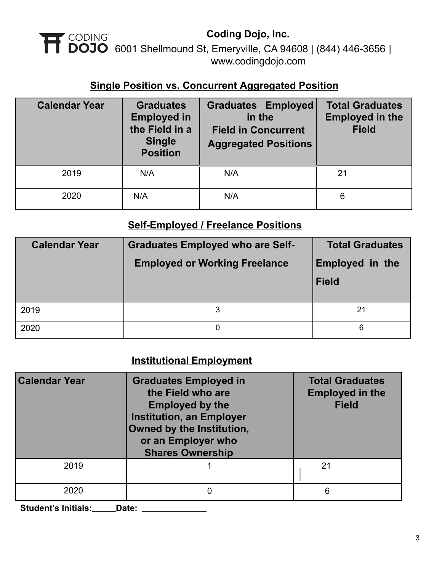### **Single Position vs. Concurrent Aggregated Position**

| <b>Calendar Year</b> | <b>Graduates</b><br><b>Employed in</b><br>the Field in a<br><b>Single</b><br><b>Position</b> | <b>Graduates Employed</b><br>in the<br><b>Field in Concurrent</b><br><b>Aggregated Positions</b> | <b>Total Graduates</b><br><b>Employed in the</b><br><b>Field</b> |  |
|----------------------|----------------------------------------------------------------------------------------------|--------------------------------------------------------------------------------------------------|------------------------------------------------------------------|--|
| 2019                 | N/A                                                                                          | N/A                                                                                              | 21                                                               |  |
| 2020                 | N/A                                                                                          | N/A                                                                                              | 6                                                                |  |

## **Self-Employed / Freelance Positions**

| <b>Calendar Year</b> | <b>Graduates Employed who are Self-</b><br><b>Employed or Working Freelance</b> | <b>Total Graduates</b><br><b>Employed in the</b><br><b>Field</b> |
|----------------------|---------------------------------------------------------------------------------|------------------------------------------------------------------|
| 2019                 |                                                                                 | 21                                                               |
| 2020                 | 0                                                                               | 6                                                                |

## **Institutional Employment**

| <b>Calendar Year</b> | <b>Graduates Employed in</b><br>the Field who are<br><b>Employed by the</b><br><b>Institution, an Employer</b><br>Owned by the Institution,<br>or an Employer who<br><b>Shares Ownership</b> | <b>Total Graduates</b><br><b>Employed in the</b><br><b>Field</b> |  |
|----------------------|----------------------------------------------------------------------------------------------------------------------------------------------------------------------------------------------|------------------------------------------------------------------|--|
| 2019                 |                                                                                                                                                                                              | 21                                                               |  |
| 2020                 |                                                                                                                                                                                              | 6                                                                |  |

**Student's Initials: Date:**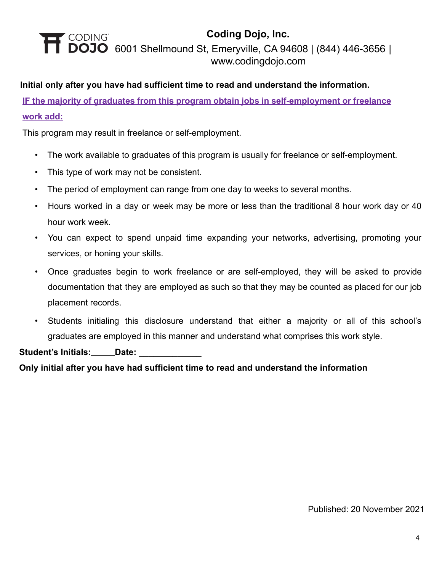#### **Initial only after you have had sufficient time to read and understand the information.**

**IF the majority of graduates from this program obtain jobs in self-employment or freelance work add:**

This program may result in freelance or self-employment.

- The work available to graduates of this program is usually for freelance or self-employment.
- This type of work may not be consistent.
- The period of employment can range from one day to weeks to several months.
- Hours worked in a day or week may be more or less than the traditional 8 hour work day or 40 hour work week.
- You can expect to spend unpaid time expanding your networks, advertising, promoting your services, or honing your skills.
- Once graduates begin to work freelance or are self-employed, they will be asked to provide documentation that they are employed as such so that they may be counted as placed for our job placement records.
- Students initialing this disclosure understand that either a majority or all of this school's graduates are employed in this manner and understand what comprises this work style.

**Student's Initials: Date: \_\_\_\_\_\_\_\_\_\_\_\_\_**

**Only initial after you have had sufficient time to read and understand the information**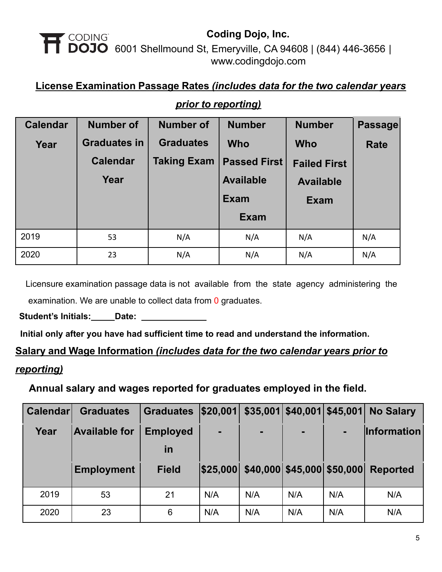### **License Examination Passage Rates** *(includes data for the two calendar years*

| <b>Calendar</b> | <b>Number of</b>    | <b>Number of</b>   | <b>Number</b>       | <b>Number</b>       | Passage     |
|-----------------|---------------------|--------------------|---------------------|---------------------|-------------|
| Year            | <b>Graduates in</b> | <b>Graduates</b>   | <b>Who</b>          | <b>Who</b>          | <b>Rate</b> |
|                 | <b>Calendar</b>     | <b>Taking Exam</b> | <b>Passed First</b> | <b>Failed First</b> |             |
|                 | Year                |                    | <b>Available</b>    | <b>Available</b>    |             |
|                 |                     |                    | <b>Exam</b>         | <b>Exam</b>         |             |
|                 |                     |                    | <b>Exam</b>         |                     |             |
| 2019            | 53                  | N/A                | N/A                 | N/A                 | N/A         |
| 2020            | 23                  | N/A                | N/A                 | N/A                 | N/A         |

#### *prior to reporting)*

Licensure examination passage data is not available from the state agency administering the examination. We are unable to collect data from 0 graduates.

Student's Initials: **Date: LECTER** 

**Initial only after you have had sufficient time to read and understand the information.**

#### **Salary and Wage Information** *(includes data for the two calendar years prior to*

#### *reporting)*

**Annual salary and wages reported for graduates employed in the field.**

| <b>Calendar</b> | <b>Graduates</b>     | <b>Graduates</b> | \$20,001 |                                     | $$35,001$ $$40,001$ $$45,001$ |     | <b>No Salary</b>   |
|-----------------|----------------------|------------------|----------|-------------------------------------|-------------------------------|-----|--------------------|
| Year            | <b>Available for</b> | <b>Employed</b>  |          |                                     | $\blacksquare$                |     | <b>Information</b> |
|                 |                      | <u>in</u>        |          |                                     |                               |     |                    |
|                 | <b>Employment</b>    | <b>Field</b>     |          | \$25,000 \$40,000 \$45,000 \$50,000 |                               |     | <b>Reported</b>    |
| 2019            | 53                   | 21               | N/A      | N/A                                 | N/A                           | N/A | N/A                |
| 2020            | 23                   | 6                | N/A      | N/A                                 | N/A                           | N/A | N/A                |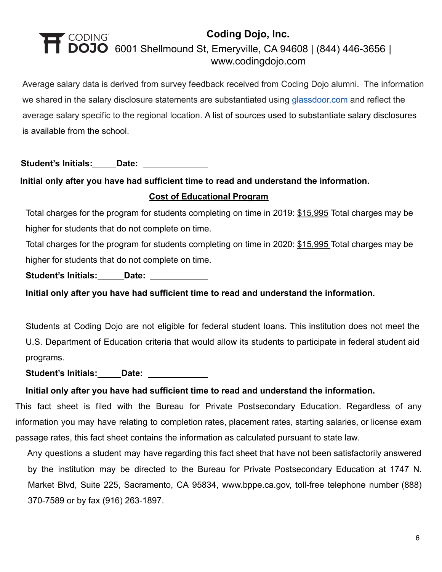Average salary data is derived from survey feedback received from Coding Dojo alumni. The information we shared in the salary disclosure statements are substantiated using [glassdoor.com](http://glassdoor.com/) and reflect the average salary specific to the regional location. A list of sources used to substantiate salary disclosures is available from the school.

**Student's Initials: Date:**

## **Initial only after you have had sufficient time to read and understand the information. Cost of Educational Program**

Total charges for the program for students completing on time in 2019: \$15,995 Total charges may be higher for students that do not complete on time.

Total charges for the program for students completing on time in 2020: \$15,995 Total charges may be higher for students that do not complete on time.

Student's Initials: **Date:** \_\_\_\_\_\_\_\_\_\_\_

**Initial only after you have had sufficient time to read and understand the information.**

Students at Coding Dojo are not eligible for federal student loans. This institution does not meet the U.S. Department of Education criteria that would allow its students to participate in federal student aid programs.

**Student's Initials: Date:**

#### **Initial only after you have had sufficient time to read and understand the information.**

This fact sheet is filed with the Bureau for Private Postsecondary Education. Regardless of any information you may have relating to completion rates, placement rates, starting salaries, or license exam passage rates, this fact sheet contains the information as calculated pursuant to state law.

Any questions a student may have regarding this fact sheet that have not been satisfactorily answered by the institution may be directed to the Bureau for Private Postsecondary Education at 1747 N. Market Blvd, Suite 225, Sacramento, CA 95834, www.bppe.ca.gov, toll-free telephone number (888) 370-7589 or by fax (916) 263-1897.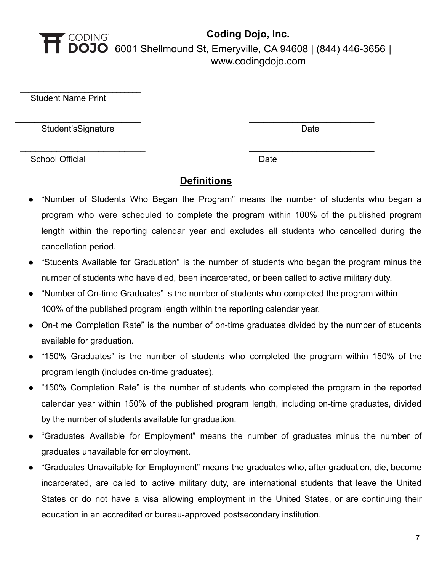# **Coding Dojo, Inc.** CODING<br>**DOJO** 6001 Shellmound St, Emeryville, CA 94608 [|](http://www.codingdojo.com) (844) 446-3656 | [www.codingdojo.com](http://www.codingdojo.com)

Student Name Print

Student'sSignature Date Date Date Date

 $\_$ 

 $\overline{\phantom{a}}$  , where  $\overline{\phantom{a}}$  , where  $\overline{\phantom{a}}$  , where  $\overline{\phantom{a}}$  , where  $\overline{\phantom{a}}$ 

School Official Date Date Date

#### **Definitions**

\_\_\_\_\_\_\_\_\_\_\_\_\_\_\_\_\_\_\_\_\_\_\_\_\_\_ \_\_\_\_\_\_\_\_\_\_\_\_\_\_\_\_\_\_\_\_\_\_\_\_\_\_

\_\_\_\_\_\_\_\_\_\_\_\_\_\_\_\_\_\_\_\_\_\_\_\_ \_\_\_\_\_\_\_\_\_\_\_\_\_\_\_\_\_\_\_\_\_\_\_\_\_\_

- "Number of Students Who Began the Program" means the number of students who began a program who were scheduled to complete the program within 100% of the published program length within the reporting calendar year and excludes all students who cancelled during the cancellation period.
- "Students Available for Graduation" is the number of students who began the program minus the number of students who have died, been incarcerated, or been called to active military duty.
- "Number of On-time Graduates" is the number of students who completed the program within 100% of the published program length within the reporting calendar year.
- On-time Completion Rate" is the number of on-time graduates divided by the number of students available for graduation.
- "150% Graduates" is the number of students who completed the program within 150% of the program length (includes on-time graduates).
- "150% Completion Rate" is the number of students who completed the program in the reported calendar year within 150% of the published program length, including on-time graduates, divided by the number of students available for graduation.
- "Graduates Available for Employment" means the number of graduates minus the number of graduates unavailable for employment.
- "Graduates Unavailable for Employment" means the graduates who, after graduation, die, become incarcerated, are called to active military duty, are international students that leave the United States or do not have a visa allowing employment in the United States, or are continuing their education in an accredited or bureau-approved postsecondary institution.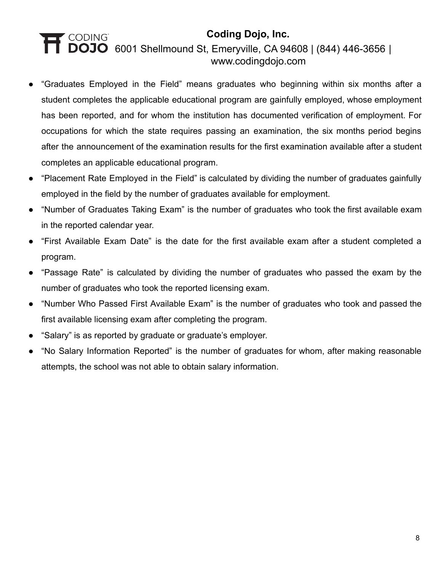- "Graduates Employed in the Field" means graduates who beginning within six months after a student completes the applicable educational program are gainfully employed, whose employment has been reported, and for whom the institution has documented verification of employment. For occupations for which the state requires passing an examination, the six months period begins after the announcement of the examination results for the first examination available after a student completes an applicable educational program.
- "Placement Rate Employed in the Field" is calculated by dividing the number of graduates gainfully employed in the field by the number of graduates available for employment.
- "Number of Graduates Taking Exam" is the number of graduates who took the first available exam in the reported calendar year.
- "First Available Exam Date" is the date for the first available exam after a student completed a program.
- "Passage Rate" is calculated by dividing the number of graduates who passed the exam by the number of graduates who took the reported licensing exam.
- "Number Who Passed First Available Exam" is the number of graduates who took and passed the first available licensing exam after completing the program.
- "Salary" is as reported by graduate or graduate's employer.
- "No Salary Information Reported" is the number of graduates for whom, after making reasonable attempts, the school was not able to obtain salary information.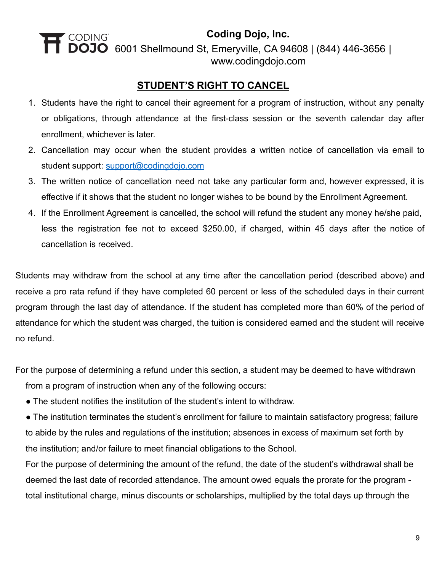**Coding Dojo, Inc.**

6001 Shellmound St, Emeryville, CA 94608 | (844) 446-3656 [|](http://www.codingdojo.com) [www.codingdojo.com](http://www.codingdojo.com)

### **STUDENT'S RIGHT TO CANCEL**

- 1. Students have the right to cancel their agreement for a program of instruction, without any penalty or obligations, through attendance at the first-class session or the seventh calendar day after enrollment, whichever is later.
- 2. Cancellation may occur when the student provides a written notice of cancellation via email to student support: [support@codingdojo.com](mailto:support@codingdojo.com)
- 3. The written notice of cancellation need not take any particular form and, however expressed, it is effective if it shows that the student no longer wishes to be bound by the Enrollment Agreement.
- 4. If the Enrollment Agreement is cancelled, the school will refund the student any money he/she paid, less the registration fee not to exceed \$250.00, if charged, within 45 days after the notice of cancellation is received.

Students may withdraw from the school at any time after the cancellation period (described above) and receive a pro rata refund if they have completed 60 percent or less of the scheduled days in their current program through the last day of attendance. If the student has completed more than 60% of the period of attendance for which the student was charged, the tuition is considered earned and the student will receive no refund.

For the purpose of determining a refund under this section, a student may be deemed to have withdrawn from a program of instruction when any of the following occurs:

• The student notifies the institution of the student's intent to withdraw.

● The institution terminates the student's enrollment for failure to maintain satisfactory progress; failure to abide by the rules and regulations of the institution; absences in excess of maximum set forth by the institution; and/or failure to meet financial obligations to the School.

For the purpose of determining the amount of the refund, the date of the student's withdrawal shall be deemed the last date of recorded attendance. The amount owed equals the prorate for the program total institutional charge, minus discounts or scholarships, multiplied by the total days up through the